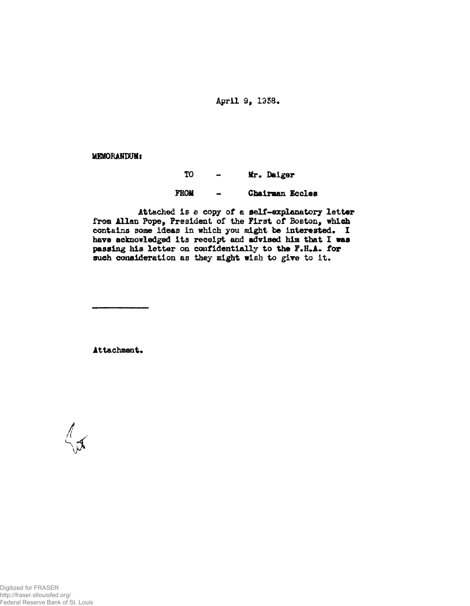April 9, 1938.

**MEMORANDUM:** 

## TO. Mr. Daiger  $\blacksquare$ **FROM** Chairman Eccles  $\ddot{\phantom{1}}$

Attached is a copy of a self-explanatory letter from Allan Pope, President of the First of Boston, which contains some ideas in which you might be interested. I have acknowledged its receipt and advised him that I was passing his letter on confidentially to the F.H.A. for such consideration as they might wish to give to it.

Attachment.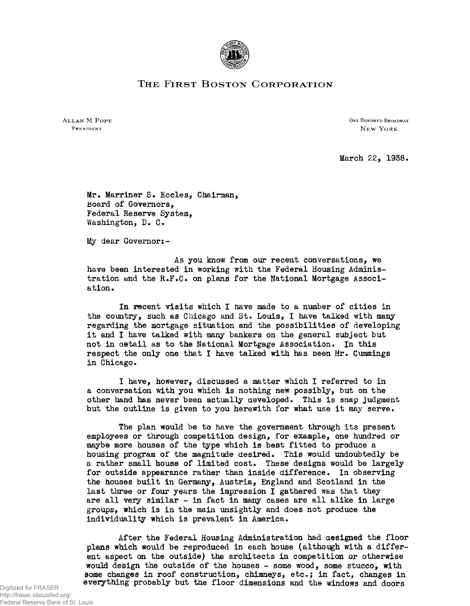

## THE FIRST BOSTON CORPORATION

ALLAN M. POPE ONE HUNDRED BROADWAY PRESIDENT NEW YORK

March 22, 1938.

Mr. Marriner S. Eccles, Chairman, Board of Governors, Federal Reserve System, Washington, D. C.

My dear Governor:-

As you know from our recent conversations, we have been interested in working with the Federal Housing Administration and the R.F.C. on plans for the National Mortgage Association •

In recent visits which I have made to a number of cities in the country, such as Chicago and St. Louis, I have talked with many regarding the mortgage situation and the possibilities of developing it and I have talked with many bankers on the general subject but not in detail as to the National Mortgage Association. In this respect the only one that I have talked with has been Mr. Cummings in Chicago.

I have, however, discussed a matter which I referred to in a conversation with you which is nothing new possibly, but on the other hand has never been actually developed. This is snap judgment but the outline is given to you herewith for what use it may serve.

The plan would be to have the government through its present employees or through competition design, for example, one hundred or maybe more houses of the type which is best fitted to produce a housing program of the magnitude desired. This would undoubtedly be a rather small house of limited cost. These designs would be largely for outside appearance rather than inside difference. In observing the houses built in Germany, Austria, England and Scotland in the last three or four years the impression I gathered was that they are all very similar - in fact in many cases are all alike in large groups, which is in the main unsightly and does not produce the individuality which is prevalent in America.

After the Federal Housing Administration had designed the floor plans which would be reproduced in each house (although with a different aspect on the outside) the architects in competition or otherwise would design the outside of the houses - some wood, some stucco, with some changes in roof construction, chimneys, etc.; in fact, changes in everything probably but the floor dimensions and the windows and doors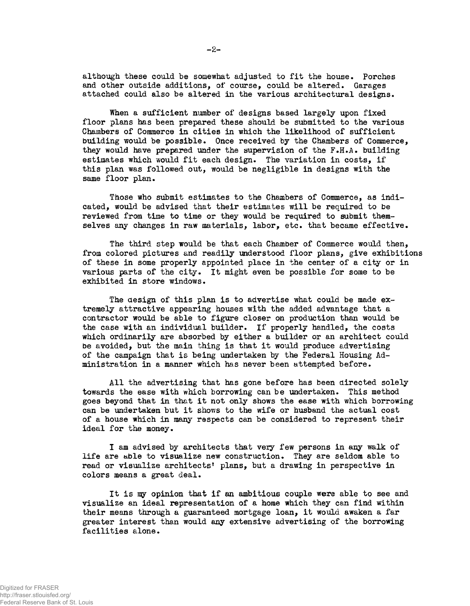although these could be somewhat adjusted to fit the house. Porches and other outside additions, of course, could be altered. Garages attached could also be altered in the various architectural designs.

When a sufficient number of designs based largely upon fixed floor plans has been prepared these should be submitted to the various Chambers of Commerce in cities in which the likelihood of sufficient building would be possible. Once received by the Chambers of Commerce, they would have prepared under the supervision of the F.H.A. building estimates which would fit each design. The variation in costs, if this plan was followed out, would be negligible in designs with the same floor plan.

Those who submit estimates to the Chambers of Commerce, as indicated, would be advised that their estimates will be required to be reviewed from time to time or they would be required to submit themselves any changes in raw materials, labor, etc. that became effective.

The third step would be that each Chamber of Commerce would then, from colored pictures and readily understood floor plans, give exhibitions of these in some properly appointed place in the center of a city or in various parts of the city. It might even be possible for some to be exhibited in store windows.

The design of this plan is to advertise what could be made extremely attractive appearing houses with the added advantage that a contractor would be able to figure closer on production than would be the case with an individual builder. If properly handled, the costs which ordinarily are absorbed by either a builder or an architect could be avoided, but the main thing is that it would produce advertising of the campaign that is being undertaken by the Federal Housing Administration in a manner which has never been attempted before.

All the advertising that has gone before has been directed solely towards the ease with which borrowing can be undertaken. This method goes beyond that in that it not only shows the ease with which borrowing can be undertaken but it shows to the wife or husband the actual cost of a house which in many respects can be considered to represent their ideal for the money.

I am advised by architects that very few persons in any walk of life are able to visualize new construction. They are seldom able to read or visualize architects' plans, but a drawing in perspective in colors means a great deal.

It is my opinion that if an ambitious couple were able to see and visualize an ideal representation of a home which they can find within their means through a guaranteed mortgage loan, it would awaken a far greater interest than would any extensive advertising of the borrowing facilities alone.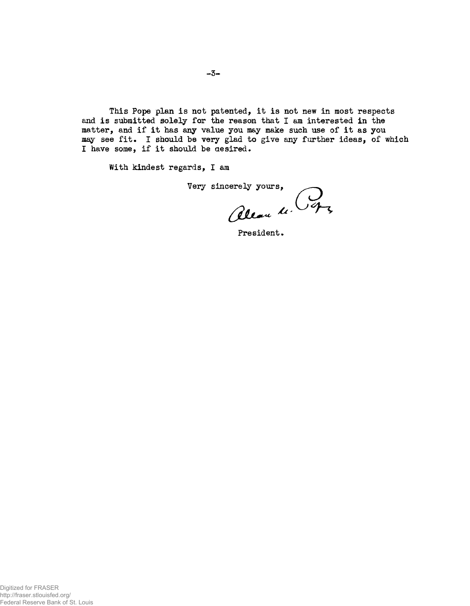This Pope plan is not patented, it is not new in most respects and is submitted solely for the reason that I am interested in the matter, and if it has any value you may make such use of it as you may see fit. I should be very glad to give any further ideas, of which I have some, if it should be aesired.

With kindest regards, I am

Very sincerely yours,<br>Clean 4.

President.